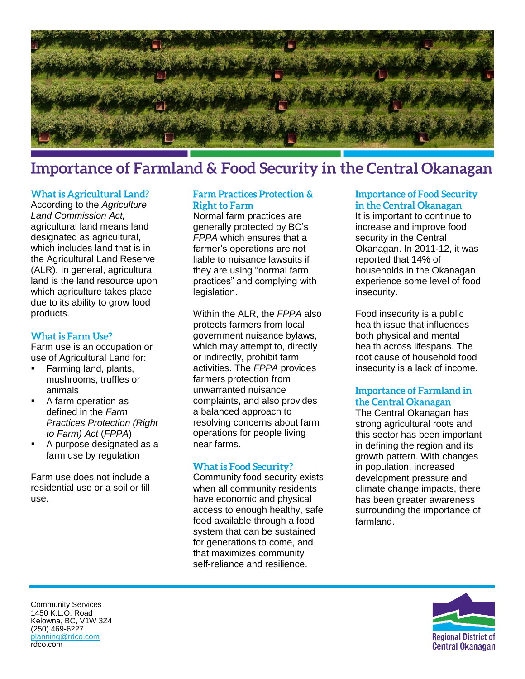

# **Importance of Farmland & Food Security in the Central Okanagan**

### **What is Agricultural Land?**

According to the *Agriculture Land Commission Act,* agricultural land means land designated as agricultural, which includes land that is in the Agricultural Land Reserve (ALR). In general, agricultural land is the land resource upon which agriculture takes place due to its ability to grow food products.

#### **What is Farm Use?**

Farm use is an occupation or use of Agricultural Land for:

- **Farming land, plants,** mushrooms, truffles or animals
- A farm operation as defined in the *[Farm](https://www.bclaws.ca/civix/document/id/complete/statreg/96131_01)  [Practices Protection \(Right](https://www.bclaws.ca/civix/document/id/complete/statreg/96131_01)  [to Farm\) Act](https://www.bclaws.ca/civix/document/id/complete/statreg/96131_01)* (*FPPA*)
- A purpose designated as a farm use by regulation

Farm use does not include a residential use or a soil or fill use.

## **Farm Practices Protection & Right to Farm**

Normal farm practices are generally protected by BC's *FPPA* which ensures that a farmer's operations are not liable to nuisance lawsuits if they are using "normal farm practices" and complying with legislation.

Within the ALR, the *FPPA* also protects farmers from local government nuisance bylaws, which may attempt to, directly or indirectly, prohibit farm activities. The *FPPA* provides farmers protection from unwarranted nuisance complaints, and also provides a balanced approach to resolving concerns about farm operations for people living near farms.

## **What is Food Security?**

Community food security exists when all community residents have economic and physical access to enough healthy, safe food available through a food system that can be sustained for generations to come, and that maximizes community self-reliance and resilience.

#### **Importance of Food Security** in the Central Okanagan

It is important to continue to increase and improve food security in the Central Okanagan. In 2011-12, it was reported that 14% of households in the Okanagan experience some level of food insecurity.

Food insecurity is a public health issue that influences both physical and mental health across lifespans. The root cause of household food insecurity is a lack of income.

## **Importance of Farmland in** the Central Okanagan

The Central Okanagan has strong agricultural roots and this sector has been important in defining the region and its growth pattern. With changes in population, increased development pressure and climate change impacts, there has been greater awareness surrounding the importance of farmland.



Community Services 1450 K.L.O. Road Kelowna, BC, V1W 3Z4 (250) 469-6227 [planning@rdco.com](mailto:planning@rdco.com) rdco.com